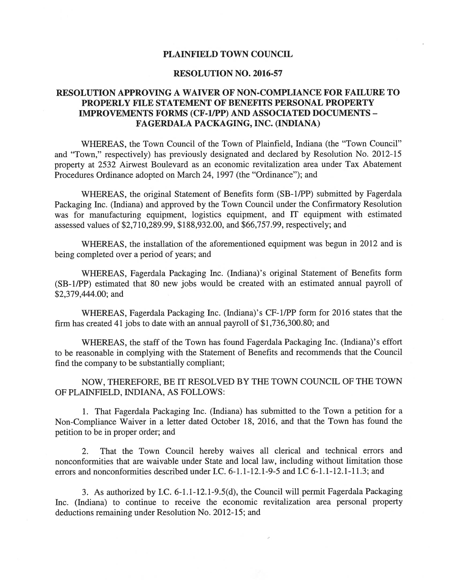## PLAINFIELD TOWN COUNCIL

## RESOLUTION NO. 2016-57

## RESOLUTION APPROVING A WAIVER OF NON-COMPLIANCE FOR FAILURE TO PROPERLY FILE STATEMENT OF BENEFITS PERSONAL PROPERTY IMPROVEMENTS FORMS (CF-1IPP) AND ASSOCIATED DOCUMENTS - FAGERDALA PACKAGING, INC. (INDIANA)

WHEREAS, the Town Council of the Town of Plainfield, Indiana (the "Town Council" and "Town," respectively) has previously designated and declared by Resolution No. 2012-15 property at 2532 Airwest Boulevard as an economic revitalization area under Tax Abatement Procedures Ordinance adopted on March 24, 1997 (the "Ordinance"); and

WHEREAS, the original Statement of Benefits form (SB-1/PP) submitted by Fagerdala Packaging Inc. (Indiana) and approved by the Town Council under the Confirmatory Resolution was for manufacturing equipment, logistics equipment, and IT equipment with estimated assessed values of \$2,710,289.99, \$188,932.00, and \$66,757.99, respectively; and

WHEREAS, the installation of the aforementioned equipment was begun in 2012 and is being completed over a period of years; and

WHEREAS, Fagerdala Packaging Inc. (Indiana)'s original Statement of Benefits form (SB- 1/PP) estimated that 80 new jobs would be created with an estimated annual payroll of \$2,379,444.00; and

WHEREAS, Fagerdala Packaging Inc. (Indiana)'s CF-i/PP form for 2016 states that the firm has created 41 jobs to date with an annual payroll of \$1,736,300.80; and

WHEREAS, the staff of the Town has found Fagerdala Packaging Inc. (Indiana)'s effort to be reasonable in complying with the Statement of Benefits and recommends that the Council find the company to be substantially compliant;

NOW, THEREFORE, BE IT RESOLVED BY THE TOWN COUNCIL OF THE TOWN OF PLAINFIELD, INDIANA, AS FOLLOWS:

1. That Fagerdala Packaging Inc. (Indiana) has submitted to the Town a petition for a Non-Compliance Waiver in a letter dated October 18, 2016, and that the Town has found the petition to be in proper order; and

2. That the Town Council hereby waives all clerical and technical errors and nonconformities that are waivable under State and local law, including without limitation those errors and nonconformities described under I.C. 6-1.1-12.1-9-5 and I.C 6-1.1-12.1-11.3; and

3. As authorized by IC. 6-1.1-12.1-9.5(d), the Council will permit Fagerdala Packaging Inc. (Indiana) to continue to receive the economic revitalization area personal property deductions remaining under Resolution No. 2012-15; and